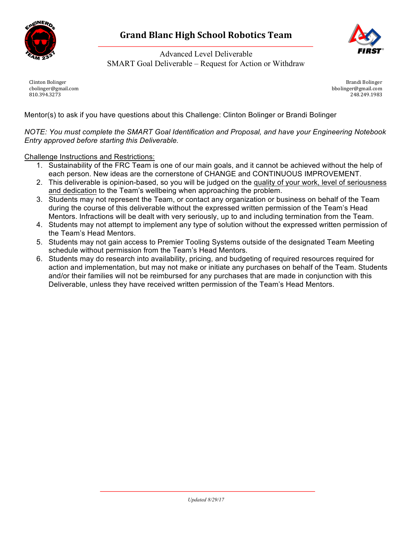



Advanced Level Deliverable SMART Goal Deliverable – Request for Action or Withdraw

Clinton Bolinger cbolinger@gmail.com 810.394.3273

Brandi Bolinger bbolinger@gmail.com 248.249.1983

Mentor(s) to ask if you have questions about this Challenge: Clinton Bolinger or Brandi Bolinger

*NOTE: You must complete the SMART Goal Identification and Proposal, and have your Engineering Notebook Entry approved before starting this Deliverable.*

Challenge Instructions and Restrictions:

- 1. Sustainability of the FRC Team is one of our main goals, and it cannot be achieved without the help of each person. New ideas are the cornerstone of CHANGE and CONTINUOUS IMPROVEMENT.
- 2. This deliverable is opinion-based, so you will be judged on the quality of your work, level of seriousness and dedication to the Team's wellbeing when approaching the problem.
- 3. Students may not represent the Team, or contact any organization or business on behalf of the Team during the course of this deliverable without the expressed written permission of the Team's Head Mentors. Infractions will be dealt with very seriously, up to and including termination from the Team.
- 4. Students may not attempt to implement any type of solution without the expressed written permission of the Team's Head Mentors.
- 5. Students may not gain access to Premier Tooling Systems outside of the designated Team Meeting schedule without permission from the Team's Head Mentors.
- 6. Students may do research into availability, pricing, and budgeting of required resources required for action and implementation, but may not make or initiate any purchases on behalf of the Team. Students and/or their families will not be reimbursed for any purchases that are made in conjunction with this Deliverable, unless they have received written permission of the Team's Head Mentors.